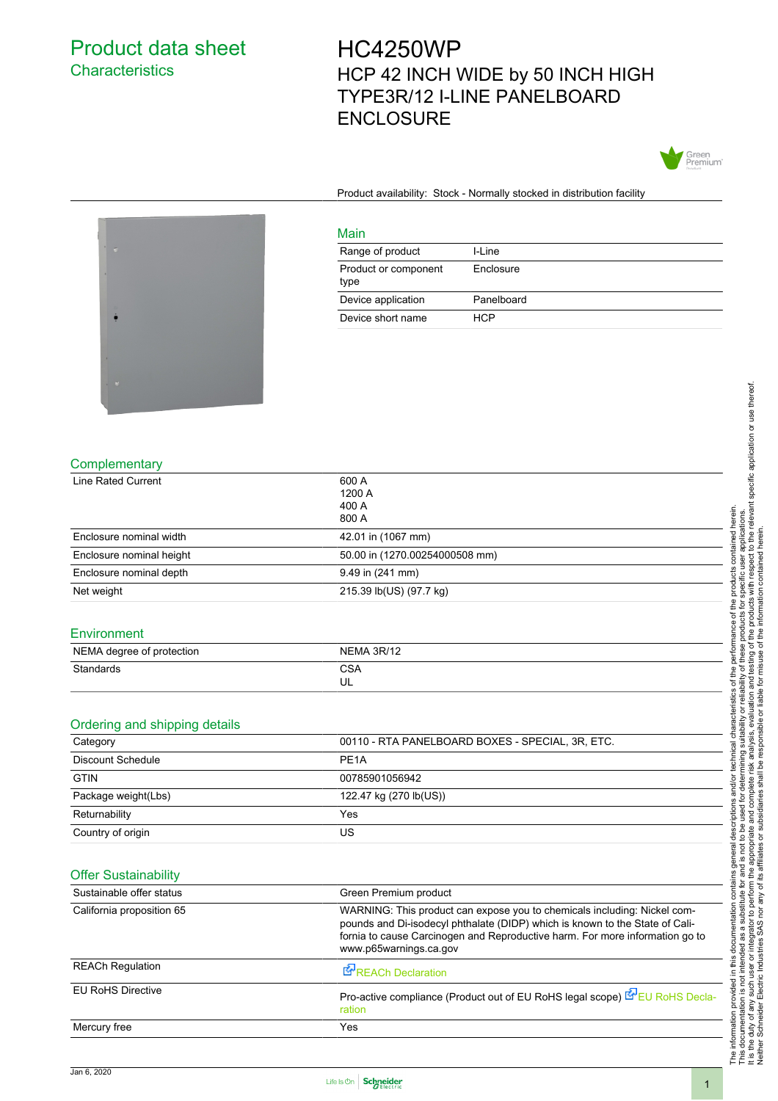## Product data sheet **Characteristics**

## HC4250WP HCP 42 INCH WIDE by 50 INCH HIGH TYPE3R/12 I-LINE PANELBOARD **ENCLOSURE**



Product availability: Stock - Normally stocked in distribution facility

Enclosure



|  | Complementary |  |
|--|---------------|--|
|--|---------------|--|

| <b>Line Rated Current</b>     | 600 A                                                                                                                                                                                                                                                              |  |
|-------------------------------|--------------------------------------------------------------------------------------------------------------------------------------------------------------------------------------------------------------------------------------------------------------------|--|
|                               | 1200 A<br>400 A                                                                                                                                                                                                                                                    |  |
|                               | 800 A                                                                                                                                                                                                                                                              |  |
| Enclosure nominal width       | 42.01 in (1067 mm)                                                                                                                                                                                                                                                 |  |
| Enclosure nominal height      | 50.00 in (1270.00254000508 mm)                                                                                                                                                                                                                                     |  |
| Enclosure nominal depth       | 9.49 in (241 mm)                                                                                                                                                                                                                                                   |  |
| Net weight                    | 215.39 lb(US) (97.7 kg)                                                                                                                                                                                                                                            |  |
| Environment                   |                                                                                                                                                                                                                                                                    |  |
| NEMA degree of protection     | NEMA 3R/12                                                                                                                                                                                                                                                         |  |
| Standards                     | <b>CSA</b>                                                                                                                                                                                                                                                         |  |
|                               | UL                                                                                                                                                                                                                                                                 |  |
|                               |                                                                                                                                                                                                                                                                    |  |
| Ordering and shipping details |                                                                                                                                                                                                                                                                    |  |
| Category                      | 00110 - RTA PANELBOARD BOXES - SPECIAL, 3R, ETC.                                                                                                                                                                                                                   |  |
| <b>Discount Schedule</b>      | PE <sub>1</sub> A                                                                                                                                                                                                                                                  |  |
| <b>GTIN</b>                   | 00785901056942                                                                                                                                                                                                                                                     |  |
| Package weight(Lbs)           | 122.47 kg (270 lb(US))                                                                                                                                                                                                                                             |  |
| Returnability                 | Yes                                                                                                                                                                                                                                                                |  |
| Country of origin             | US                                                                                                                                                                                                                                                                 |  |
|                               |                                                                                                                                                                                                                                                                    |  |
| <b>Offer Sustainability</b>   |                                                                                                                                                                                                                                                                    |  |
| Sustainable offer status      | Green Premium product                                                                                                                                                                                                                                              |  |
| California proposition 65     | WARNING: This product can expose you to chemicals including: Nickel com-<br>pounds and Di-isodecyl phthalate (DIDP) which is known to the State of Cali-<br>fornia to cause Carcinogen and Reproductive harm. For more information go to<br>www.p65warnings.ca.gov |  |
| <b>REACh Regulation</b>       | REACh Declaration                                                                                                                                                                                                                                                  |  |
| <b>EU RoHS Directive</b>      | Pro-active compliance (Product out of EU RoHS legal scope) E EU RoHS Decla-                                                                                                                                                                                        |  |

Main

type

Range of product I-Line

Device application Panelboard Device short name HCP

Product or component

The information provided in this documentation contains general descriptions and/or technical characteristics of the performance of the products contained herein.<br>This documentation is not intended as a substitute for and It is the duty of any such user or integrator to perform the appropriate and complete risk analysis, evaluation and testing of the products with respect to the relevant specific application or use thereof. The information provided in this documentation contains general descriptions and/or technical characteristics of the performance of the products contained herein. This documentation is not intended as a substitute for and is not to be used for determining suitability or reliability of these products for specific user applications. Neither Schneider Electric Industries SAS nor any of its affiliates or subsidiaries shall be responsible or liable for misuse of the information contained herein.

Mercury free Yes



[ration](http://www.reach.schneider-electric.com/DistantRequestDispatcher.aspx?action=export&pid=445799&lang=en-us)